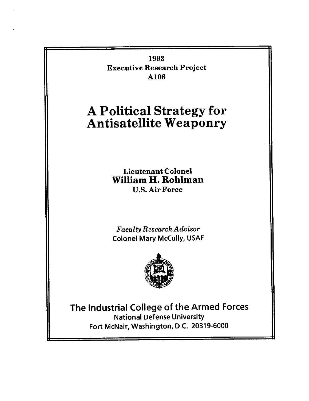**1993 Executive Research Project A106** 

# **A Political Strategy for Antisatellite Weaponry**

Lieutenant Colonel **William H. Rohlman**  U.S. Air Force

*Faculty Research Advisor*  Colonel Mary McCully, USAF



**The Industrial College of the Armed Forces**  National Defense University Fort McNair, Washington, D.C. 20319-6000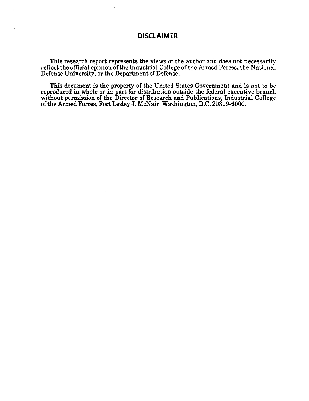# **DISCLAIMER**

This research report represents the views of the author and does not necessarily reflect the official opinion of the Industrial College of the Armed Forces, the National Defense University, or the Department of Defense.

This document is the property of the United States Government and is not to be reproduced in whole or in part for distribution outside the federal executive branch without permission of the Director of Research and Publications, Industrial College of the Armed Forces, Fort Lesley J. McNair, Washington, D.C. 20319-6000.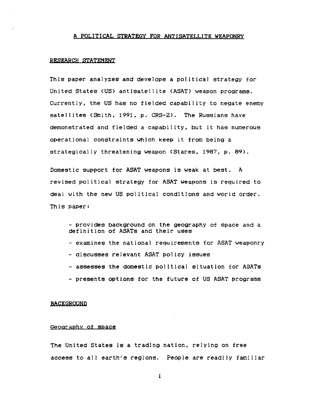### A POLITICAL STRATEGY FOR ANTISATELLITE WEAPONRY

#### RESEARCH STATEMENT

This paper analyzes and develops a political strategy for United States (US) antisatellite (ASAT) weapon programs. Currently, the US has no fielded capability to negate enemy satellites (Smith, 1991, p. CRS-2). The Russians have demonstrated and fielded a capability, but it has numerous operational constraints which keep it from being a strategically threatening weapon (Stares, 1987, p. 89).

Domestic support for ASAT weapons is weak at best. A revised political strategy for ASAT weapons is required to deal with the new US political conditions and world order, This paper:

- Provides background on the geography of space and a definition of ASATs and their uses - examines the national requirements for ASAT weaponry **-** discusses relevant ASAT policy issues **-** assesses the domestic po|Itlcal sltuatlon for ASATs - presents options for the future of US ASAT programs

### **BACKGROUND**

#### Geography of space

The United States is a trading nation, relying on free access to all earth's regions. People are readlly familiar

 $\mathbf{1}$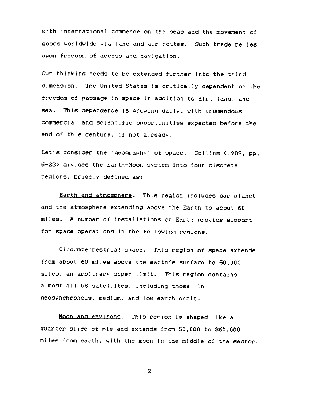with international commerce on the seas and the movement of goods worldwide via land and alr routes. Such trade relies upon freedom of access and navigation.

Our thinking needs to be extended further into the third dimension. The United States is critically dependent on the freedom of passage in space in addition to alr, land, and sea. This dependence is growing daily, with tremendous commercial and scientific opportunitles expected before the end of this century, if not already.

Let's consider the "geography" of space. Collins (1989, pp.  $6-22$ ) divides the Earth-Moon system into four discrete regions, briefly defined as:

Earth and atmosphere. This region includes our planet and the atmosphere extending above the Earth to about 60 miles. A number of installations on Earth provide support for space operations in the following regions.

Circumterrestrial space. This region of space extends from about 60 miles above the earth's surface to 50,000 miles, an arbitrary upper limit. This region contains almost all US satellites, including those in geosynchronous, medium, and low earth orbit.

Moon and environs. This region Is shaped llke a quarter slice of pie and extends from 50,000 to 360,000 miles from earth, wlth the moon in the middle of the sector.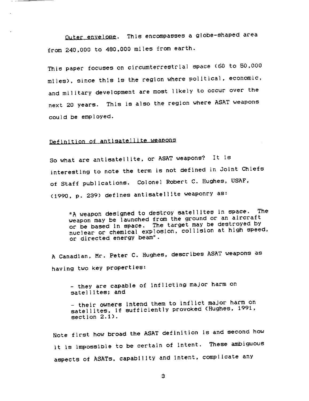Outer envelope. This encompasses a globe-shaped area from 240,000 to 480,000 miles from earth.

This paper focuses on clrcumterrestrla] space (60 to 50,000 miles), since this is the region where political, economic, and military development are most likely to occur over the next 20 years. This is also the region where ASAT weapons could be employed.

# Definition of antlsatelllte weapons

So what are antlsatelllte, or ASAT weapons? It is interesting to note the term is not defined in Joint Chiefs of Staff publications. Colonel Robert C. Hughes, USAF, (1990, p. 239) defines antisatel|ite weaponry as:

"A weapon designed to destroy satellltes in space. The weapon may be launched from the ground or an aircraft or be based In space, The target may be destroyed by nuclear or chemical exp]oslon, *collision* at high speed, or directed energy beam".

A Canadian, Mr. Peter C. Hughes, describes ASAT weapons as having two key properties:

- they are capable of inflicting major harm on satellltes; and

- their owners intend them to inflict major harm on satellites, if sufficiently provoked (Hughes, 1991, section 2.1).

Note first how broad the ASAT definition is and second how it is impossible to be certain of intent. These *ambiguous*  aspects of ASATs, capability and Intent, *complicate* any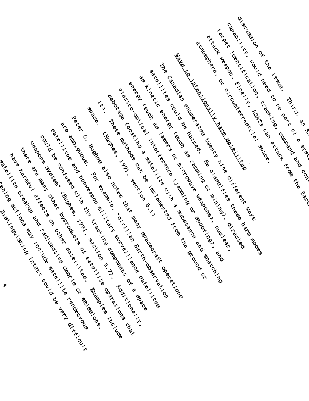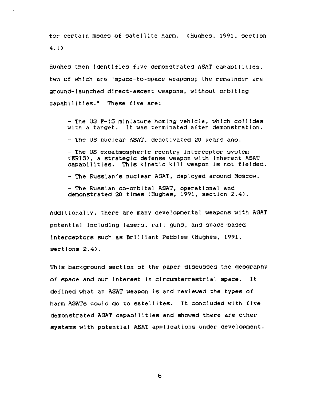for certain modes of satellite harm. (Hughes, 1991, section 4.1)

Hughes then Identlfles five demonstrated ASAT capab111tles, two of whlch are "space-to-space weapons; the remainder are ground-launched d|rect-ascent weapons, without orbiting capabilities." These five are:

- The US F-15 miniature homing vehicle, which co]lldes with a target. It was terminated after demonstration.

- The US nuclear ASAT, deactivated 20 years ago.

- The US exoatmospherlc reentry interceptor system (ERIS), a strategic defense weapon wlth inherent ASAT capabilities. This kinetic kill weapon is not fielded.

- The Russian's nuclear ASAT, deployed around Moscow.

- The Russian co-orbital ASAT, operational and demonstrated 20 times <Hughes, 1991, section 2.4).

Additionally, there are many developmental weapons wlth ASAT potential |ncludlng lasers, tall guns, and space-based Interceptors *such* as Brilliant Pebbles (Hughes, 1991, sections 2.4).

This background section of the paper discussed the geography of space and our Interest in circumterrestrla] space. It defined what an ASAT weapon is and reviewed the types of harm ASATs could do to satellites. It concluded with five demonstrated ASAT capabilities and showed there are other systems with potential ASAT applications under development.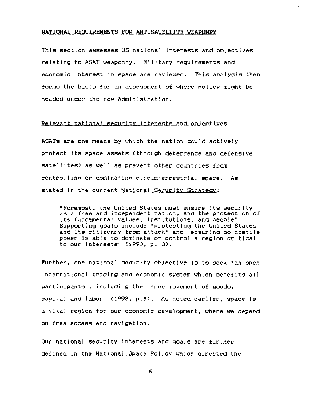### **NATIONAL REQUIREMENTS FOR ANTISATELLITE WEAPONRY**

This section assesses US national interests and objectives relating to ASAT weaponry. Military regulrements and economic interest in space are reviewed. This analysis then forms the basis for an assessment of where policy might be headed under the new Administration.

### Relevant national security interests and objectives

ASATs are one means by which the nation could actively protect its space assets (through deterrence and defensive satellites) as well as prevent other countries from controlling or dominating clrcumterrestrlal space. As stated in the current National Security Strategy:

"Foremost, the United States must ensure its security as a free and independent nation, and the protection of its fundamental values, institutions, and people". Supporting goals include "protecting the United States and its citizenry from attack" and "ensuring no hostile power is able to dominate or control a region critical to our interests" (1993, p. 3).

Further, one national security objective is to seek "an open international trading and economic system which benefits all participants", including the "free movement of goods, capital and labor" (1993, p.3). As noted earlier, space is a vital region for our economic development, where we depend on free access and navigation.

Our national security Interests and goals are further defined in the National Space Policy which directed the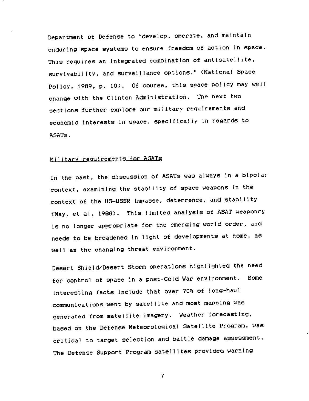Department of Defense to "develop, operate, and maintain enduring space systems to ensure freedom of action in space. This requires an integrated combination of antisatellite, survivability, and surveillance options." (National Space Policy, 1989, p. i0). Of course, this space policy may well change with the Clinton Administration. The next two sections further explore our military requirements and economic Interests in space, specifically in regards to ASATs.

# Milltarv reauirements for ASATs

In the past, the discussion of ASATs was always in a bipolar context, examining the stability of space weapons in the context of the US-USSR Impasse, deterrence, and stability (May, et al, 1988). This limited analysis of ASAT weaponry is no longer appropriate for the emerging world order, and needs to be broadened In light of developments at home, as well as the changing threat environment.

Desert Shleld/Desert Storm operatlons highlighted the need for control of space in a post-Cold War environment. Some interesting facts include that over 70% of long-haul communications went by satellite and most mapping was generated from satellite imagery. Weather forecasting, based on the Defense Meteorological Satellite Program, was critical to target selection and battle damage assessment. The Defense Support Program satellites provided warning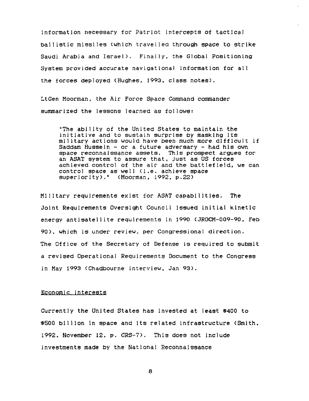information necessary for Patriot intercepts of tactical ballistic missiles (which travelled through space to strike Saudi Arabia and Israel>. Finally, the Global Positioning System provided accurate navigational information for all the forces deployed (Hughes, 1993, class notes).

LtGen Moorman, the Air Force Space Command commander summarized the lessons learned as follows:

"The ability of the United States to maintain the initiative and *to* sustain surprise by masking its military actions would have been *much* more difficult if Saddam Hussein - or a future adversary - had his own space reconnaissance assets. This prospect argues for an ASAT system to assure that, just as US forces achieved control of the air and the battlefield, we can contro| space as well (i.e. achieve space superiority)." (Moorman, 1992, p.22)

Military requlrements exlst for ASAT capabilities. The Joint Requirements Oversight Council issued initial kinetic energy antisatellite requirements in 1990 (JROCM-009-90, Feb 90), which is under review, per Congressional direction. The Office of the Secretary of Defense is required to submit a revised Operational Requirements Document to the Congress in May 1993 (Chadbourne interview, Jan 93).

### Economic interests

Currently the Unlted States has invested at least \$400 to \$500 bl|llon in space and its related *Infrastructure* (Smith, 1992, November 12, p. CRS-7). Thls does not Include investments made by the National Reconnaissance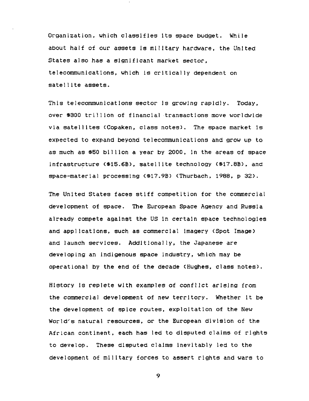Organization, which classifies Its space budget. While about half of our assets Is military hardware, the United States also has a significant market sector, telecommunications, which Is critically dependent on satellite assets.

This te]ecommunicatlons sector is growing rapidly. Today, over S300 trillion of flnancia] transactlons move worldwide via satellites (Copaken, class notes). The space market Is expected to expand beyond *telecommunications* and grow up to as *much* as \$50 billion a year by 2000, in the areas of space infrastructure (S15.6B), satellite technology (\$17.8B), and space-materlal processing (\$17.9B) (Thurbach, 1988, p 32).

The United States faces stiff competition for the commercial development of space. The European Space Agency and Russia already compete against the US In certain space technologies and applications, such as commercial imagery (Spot Image) and launch services. Additionally, the Japanese are developing an indigenous space industry, which may be operational by the end of the decade (Hughes, class notes).

History Is replete wlth examples of conflict arlslng from the *commercial* development of new territory. Whether it be the development of spice routes, exploitation of the New World's natural resources, or the European division of the African continent, each has led to disputed claims of rights to develop. These disputed claims inevitably led to the development of military forces to assert rights and wars to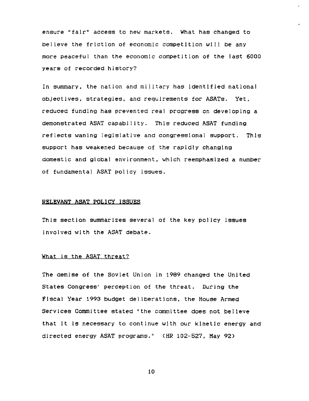ensure "fair" access to new markets. What has changed to believe the friction of economic competition wl|l be any more peaceful than the *economic* competition of the last 6000 years of recorded history?

In summary, the nation and military has identlfied national objectives, strategies, and reguirements for ASATs. Yet, reduced funding has prevented real progress on developing a demonstrated ASAT capability. This reduced ASAT funding reflects waning ]egis]atlve and congressional support. Thls support has weakened because of the rapidly changing domestic and global environment, which reemphasized a number of fundamental ASAT policy issues.

### **RELEVANT ASAT POLICY ISSUES**

This section summarizes several of the key policy issues Involved wlth the ASAT debate.

### What is the ASAT threat?

The demise of the Soviet Union in 1989 changed the United States Congress" perception of the threat. During the Fiscal Year 1993 budget deliberations, the House Armed Services Committee stated "the committee does not believe that It Is necessary to continue wlth our kinetic energy and directed energy ASAT programs." (HR 102-527, May 92)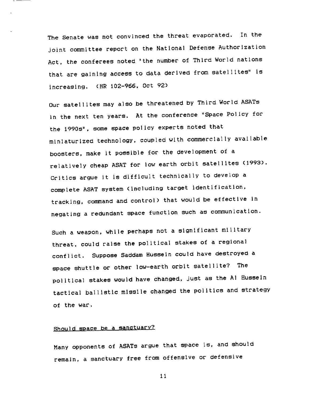The Senate was not convinced the threat evaporated. In the joint committee report on the National Defense Authorization Act, the conferees noted "the number of Third World nations that are gaining access to data derived from satellltes" is increasing. (HR 102-966, Oct 92)

Our satellites may also be threatened by Third World ASATs in the next ten years. At the conference "Space Policy for the 1990s", some space policy experts noted that miniaturized technology, coupled wlth commercially available boosters, make it possible for the development of a relatively cheap ASAT for low earth orbit satellites (1993). Critics argue it is difficult technically to develop a complete ASAT system (including target identification, tracking, command and control) that would be effective in negating a redundant space function such as communication.

Such a weapon, while perhaps not a significant mllltary threat, could raise the political stakes of a regional conflict. Suppose Saddam Hussein could have destroyed a space shuttle or other low-earth orbit satellite? The political stakes would have changed, just as the Al Husseln tactical ballistic mlsslle changed the politics and strategy of the war,

# Should space be a sanctuary?

Many opponents of ASATs argue that space is, and should remain, a sanctuary free from offensive or defensive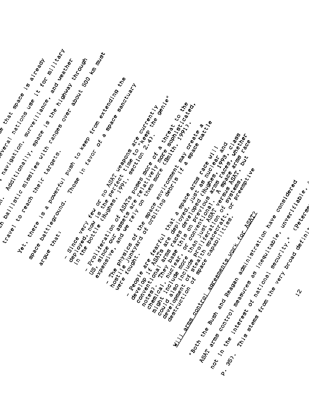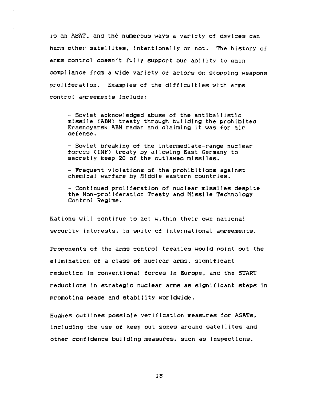is an ASAT, and the numerous ways a variety of devices can harm other satellites, intentionally or not. The history of arms *control* doesn't fully support our ability to gain compliance from a wide variety of actors on stopping weapons proliferation. Examples of the difficulties with arms control agreements Include:

- Soviet acknowledged abuse of the antiballistic missile (ABM) treaty through building the prohibited Krasnoyarsk ABM radar and claiming it was for air defense.

- Soviet breaking of the intermediate-range nuclear forces (INF) treaty by allowing East Germany to secretly keep 20 of the outlawed missiles.

- Frequent violations of the prohibitions against chemlca] warfare by Middle eastern countries.

**-** Continued proliferation of nuclear missiles despite the Non-proliferation Treaty and Missile Technology Contro] Regime.

Nations will continue to act within their own national security interests, in spite of international agreements.

Proponents of the arms control treaties would point out the elimination of a class of nuclear arms, significant reduction In conventional forces In Europe, and the START reductions in strategic nuclear arms as significant steps In promoting peace and stability worldwide.

Hughes outlines possible verification measures for ASATs, including the use of keep out zones around satellites and other *confidence* building measures, such as inspections.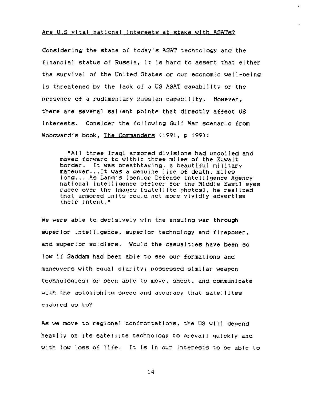### Are U.S vital national Interests at stake with ASATs?

Considering the state of today's ASAT technology and the financial status of Russia, it is hard to assert that either the survival of the United States or *our* economic well-belng is threatened by the lack of a US ASAT capability or the presence of a rudlmentary Russian capab1|Ity. However, there are several salient points that directly affect US interests. Consider the following Gulf War scenario from Woodward~s book, The Commanders (1991, p 199):

"All three Iraqi armored divisions had uncoiled and moved forward to within three miles of the Kuwait border. It was breathtaking, a beautiful military maneuver...It was a genuine line of death, miles long... As Lang's [senior Defense Intelligence Agency national intelligence officer for the Middle East] eyes raced over the images [satellite photos], he realized that armored units could not more vividly advertise their intent."

We were able to decisively win the ensuing war through superior intelligence, superior technology and firepower, and superior soldiers. Would the casualties have been so low tf Saddam had been able to see our formations and maneuvers with equal clarity; possessed similar weapon technologies; or been able to move, shoot, and communicate with the astonishing speed and accuracy that satellites enabled us to?

As we move to regional confrontations, the US will depend heavily on Its satellite technology to prevail quickly and with low loss of llfe. It is in our interests to be able to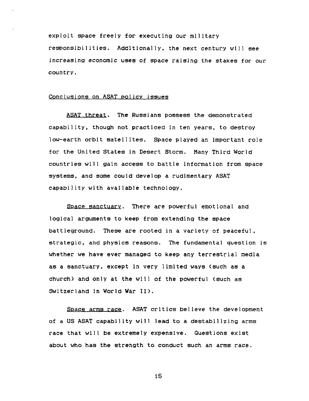exploit space freely for executing our mllltary responsibilities. Addltionally, the next century wlll see increasing economic uses of space raising the stakes for our country.

## Conclusions on ASAT policy issues

ASAT threat. The Russians possess the demonstrated capability, though not practiced in ten years, to destroy low-earth orbit satellites. Space played an important role for the United States In Desert Storm. Hany Third World countries will gain access to battle information from space systems, and some could develop a rudimentary ASAT capability with available technology.

Space sanctuary. There are powerful emotlonal and logical arguments to keep from extending the space battleground. These are rooted in a variety of peaceful, strategic, and physics reasons. The fundamental question is whether we have ever managed to keep any terrestrial media as a sanctuary, except in very limited ways (such as a church) and only at the will of the powerful (such as Switzerland In World War II).

Space arms race. ASAT critics believe the development of a US ASAT capability will lead to a destabilizing arms race that will be extremely expensive. Questions exist about who has the strength to conduct such an arms race.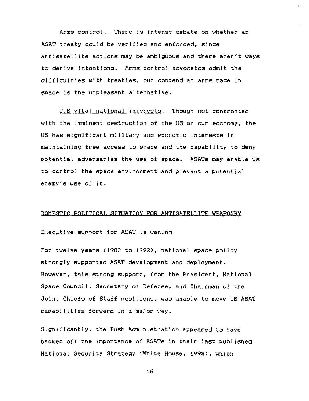Arms control. There is intense debate on whether an ASAT treaty could be verlfled and enforced, slnce antisatellite actions may be ambiguous and there aren't ways to derive intentions. Arms control advocates admit the difficulties with treaties, but contend an arms race in space is the unpleasant alternative.

U.S vital national Interests. Though not confronted wlth the imminent destruction of the US or *our* economy, the US has signlflcant ml]Itary and economic Interests In maintaining free access to space and the capability to deny potential adversaries the use of space. ASATs may enable us to control the space environment and prevent a potential enemy's use of it.

### **DOMESTIC POLITICAL SITUATION FOR ANTISATELLITE WEAPONRy**

### Executive support for ASAT is wanlna

For twelve years (1980 to 1992), national space policy strongly supported ASAT development and deployment. However, this strong support, from the President, National Space Council, Secretary of Defense, and Chairman of the Joint Chiefs of Staff posltlons, was unable to move US ASAT capabilities forward in a major way.

Significantly, the Bush Administration appeared to have backed off the importance of ASATs in their last published National Security Strategy (White House, 1998), which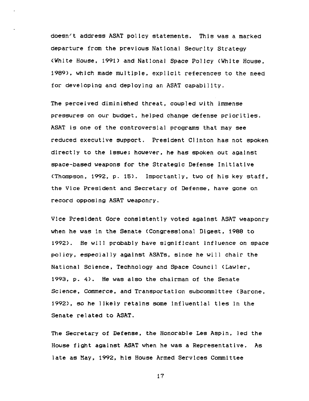doesn't address ASAT policy statements. This was a marked departure from the previous National Security Strategy (White House, 1991) and National Space Policy (White House, 1989), which made multiple, explicit references to the need for developing and deploylng an ASAT capability.

The perceived diminished threat, coupled with immense pressures on *our* budget, helped change defense priorities. ASAT is one of the controversial programs that may see reduced executive support. President Clinton has not spoken directly to the issue; however, he has spoken *out* against space-based weapons for the Strategic Defense Initlatlve (Thompson, 1992, p. 15). Importantly, two of his key staff, the Vice President and Secretary of Defense, have gone on record opposing ASAT weaponry.

Vice President Gore consistently voted agalnst ASAT weaponry when he was in the Senate <Congresslona] Digest, 1988 to 1992). He will probably have significant influence on space policy, especially against ASATs, since he will chair the National Science, Technology and Space Council (Lawler, 1993, p. 4). He was also the chairman of the Senate Science, Commerce, and Transportatlon *subcommittee* (Barone, 1992), so he likely retalns some [nfIuentlal ties in the Senate related to ASAT.

The *Secretary* of Defense, the Honorable Les Aspin, led the House fight against ASAT when he was a Representative. As late as May, 1992, his House Armed Services Committee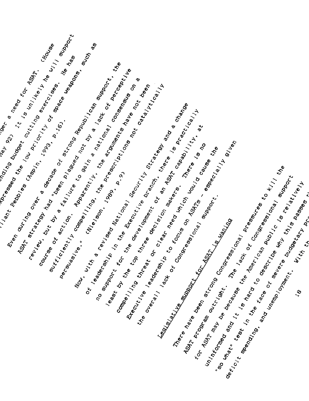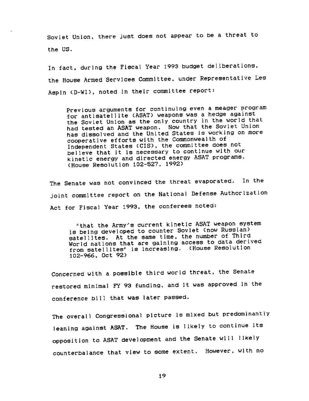Soviet Union, there just does not appear to be a threat to the US.

In fact, during the Fiscal Year 1993 budget deliberations, the House Armed Services Committee, under Representative Les Aspln CD-WI), noted In their committee report:

Previous arguments for continuing even a meager program for antisatellite (ASAT) weapons was a hedge against the Soviet Union as the only country in the world that had tested an ASAT weapon. Now that the Soviet Union has dissolved and the United States is working on more cooperative efforts with the Commonwealth of Independent States (CIS), the committee does not believe that it is necessary to continue with our kinetic energy and directed energy ASAT programs. (House Resolution I02-527, 1992)

The Senate was not convinced the threat evaporated. In the joint commlttee report on the National Defense Authorization Act for Fiscal Year 1993, the conferees noted:

"that the Army's current kinetic ASAT weapon system is being developed to counter Soviet (now Russian) satellites. At the same time, the number of Third World nations that are gaining access to data derived from satellites" is Increasing. (House Resolution 102-966, Oct 92)

Concerned with a possible third world threat, the Senate restored minimal FY 93 funding, and it was approved in the conference bill that was later passed.

The overall Congressional picture is mixed but predominantly leaning against ASAT. The House is likely to continue its opposition to ASAT development and the Senate will likely counterbalance that view to some extent. However, with no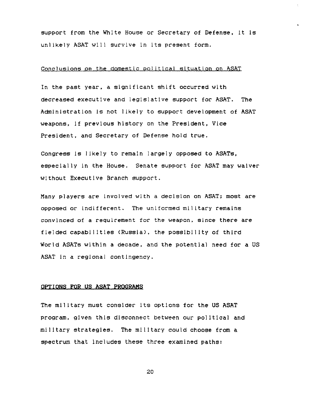support from the White House or Secretary of Defense, it is unlikely ASAT will survive in its present form.

### Conclusions on the domestic political situation on ASAT

In the past year, a significant shift occurred with decreased executive and legislative support for ASAT. The Administration Is not likely to support development of ASAT weapons, if previous history on the President, Vice President, and Secretary of Defense hold true.

Congress is likely to remain largely opposed to ASATs, especially in the House. Senate support for ASAT may waiver without Executive Branch support.

Many players are involved with a decision on ASAT; most are opposed or indifferent, The uniformed military remains convinced of a requirement for the weapon, since there are fielded capabilities (Russia), the possibility of third World ASATs within a decade, and the potential need for a US ASAT In a regional contingency.

### **OPtiONS FOR US ASAT PROGRAMS**

The military must consider its options for the US ASAT program, given this disconnect between our polltlca] and military strategies. The military could choose from a spectrum that includes these three examined paths: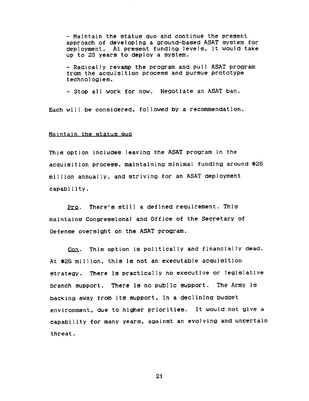- Maintain the status quo and continue the present approach of developlng a ground-based ASAT system for deployment. At present funding levels, it *would* take up to 20 years to deploy a system.

- Radically revamp the program and pull ASAT program from the acquisition process and pursue prototype technologies.

- Stop all work for now. Negotlate an ASAT ban.

Each will be considered, followed by a recommendation.

### Maintain the status auo

This option includes leaving the ASAT program in the acquisition process, maintaining minimal funding around \$25 million annually, and striving for an ASAT deployment capability.

Pro. There's still a defined requirement. Thls maintains Congressional and Office of the Secretary of Defense oversight on the ASAT program.

Con. This option is politically and financlally dead. At \$25 million, thls is not an executable acquisition strategy, There is practically no executive or legislative branch support. There is no public support, The Army is backing away from its support, in a declining budget environment, due to higher priorities. It would not give a capability for many years, against an evolving and uncertain threat.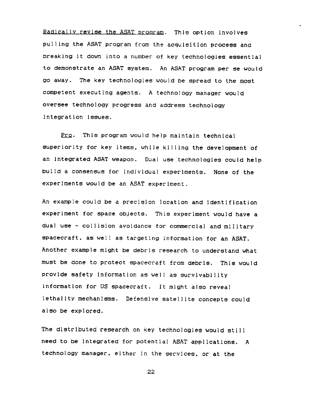Radically revise the ASAT program. This option involves pulling the ASAT program from the acquisition process and breaking it down into a number of key technologies essential to demonstrate an ASAT system. An ASAT program per se would go away. The key technologies would be spread to the most competent executing agents. A technology manager would oversee technology progress and address technology integration issues.

prQ. This program would help maintain technical superiority for key items, while killing the development of an integrated ASAT weapon. Dual use technologies could help build a consensus for individual experiments. None of the experiments would be an ASAT experiment.

An example could be a precision location and identification experiment for space objects. This experiment would have a dual use - collision avoidance for commercial and military spacecraft, as well as targeting information for an ASAT. Another example might be debris research to understand what must be done to protect spacecraft from debris. This would provide safety Information as well as survivability information for US spacecraft. It might also reveal lethality mechanisms. Defensive satellite concepts could also be explored.

The distributed research on key technologies would still need to be integrated for potential ASAT applications. A technology manager, either in the servlces, or at the

?2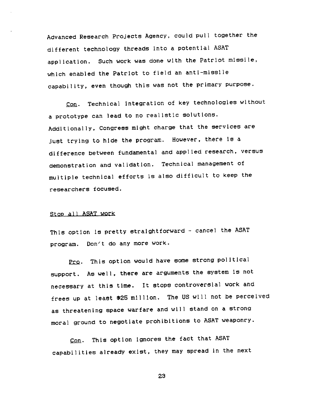Advanced Research Projects Agency, could pull together the different technology threads into a potential ASAT application. Such work was done with the Patriot mlssile, which enabled the Patriot to field an anti-missile capability, even though this was not the primary purpose.

Con. Technical integration of key technologies without a prototype can lead to no realistic solutions. Additionally, Congress might charge that the services are just trying to hlde the program. However, there is a difference between fundamental and applied research, versus demonstration and validation. Technical management of multiple technical efforts is also difficult to keep the researchers focused.

### Stop all ASAT work

This option Is pretty straightforward - cancel the ASAT program. Don't do any more work.

Pro. This option would have some strong political support. As well, there are arguments the system is not necessary at this time, It stops controversial work and frees up at least \$25 million. The US will not be perceived as threatening space warfare and will stand on a strong moral ground to negotiate prohibitions to ASAT weaponry.

Con. This option ignores the fact that ASAT capabilities already exist, they may spread in the next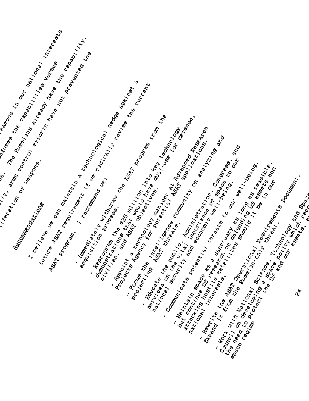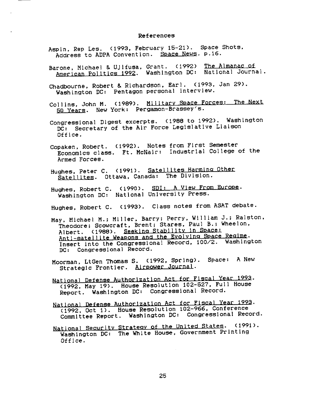#### References

- Aspin, Rep Les. (1993, February 15-21). Space Shots, Address to ADPA Convention. Space News. p.16.
- Barone, Michael & UJifusa, Grant. (1992) The Almanac of American Politics 1992. Washington DC: National Journal.
- Chadbourne, Robert & Richardson, Earl. (1993, Jan 29). Washington DC: Pentagon personal interview.
- Collins, John M. (1989). Military Space Forces: The Next 50 years. New York: Pergamon-Brassey's.
- Congressional Digest excerpts. (1988 to 1992). Washington DC: Secretary of the Air Force Legislative Liaison Office.
- Copaken, Robert. (1992). Notes from First Semester Economics class. Ft. McNalr: Industrial College of the Armed Forces.
- Hughes, Peter C. (1991). Satellites Harming Other Satellites. Ottawa, Canada: The Division.
- Hughes, Robert C. (1990). SDI: A View From Europe. Washington DC: National University Press.
- Hughes, Robert C. (1993). Class notes from ASAT debate.
- May, Michael M.; Miller, Barry; Perry, William J.; Ralston, Theodore; Scowcraft, Brent; Stares, Paul B.; Wheelon, Albert. (1988). Seeklna Stabilltv In Space: Antl-satelllte Weapons and the Evolvlna Space Reaime. Insert into the Congressional Record, 100/2. Washington DC: Congressional Record.
- Moorman, LtGen Thomas S. (1992, Spring). Space: A New Strategic Frontier. Airpower Journal.
- National Defense Authorization Act for Fiscal Year 1993. (1992, May 19). House Resolution 102-527, Full House Report. Washington DC: Congressional Record.
- National Defense Authorization Act for Fiscal Year 1993. (1992, Oct I). House Resolution 102-966, Conference Committee Report. Washington DC: Congressional Record.
- National Security Strategy of the United States. (1991). Washington DC: The White House, Government Printing Office.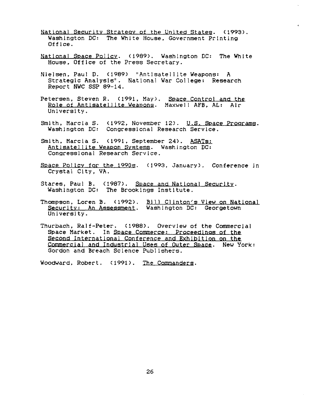- National Security Strategy of the United States. (1993). Washington DC: The White House, Government Printing Office.
- National Space Policy. (1989). Washington DC: The White House, Office of the Press Secretary.
- Nielsen. Paul D. (1989) "Antisatellite Weapons: A Strategic Analysis". National War College: Research Report NWC SSP 89-14.
- Petersen, Steven R. (1991, May). Space Control and the Role of Antisatellite Weapons. Maxwell AFB. AL: Air University.
- Smith, Marcia S. (1992, November 12). U.S. Space Programs. Washington DC: Congressional Research Service,
- Smith, Marcia S. (1991, September 24). ASATs: Antisatellite Weapon Systems. Washington DC: Congressional Research Service.
- Space Policy for the 1990s. (1993, January). Conference in Crystal City, VA.
- Stares, Paul B. (1987). Space and National Security. Washington DC: The Brookings Institute.
- Thompson, Loren B. (1992). Bill Clinton's View on National Security: An Assessment. Washington DC: Georgetown University.
- Thurbach, Ralf-Peter, (1988). Overview of the Commercial Space Market. In Space Commerce: Proceedings of the Second International Conference and Exhibition on the Commercial and Industrial Uses of Outer Space. New York: Gordon and Breach Science Publishers.

Woodward, Robert, (1991). The Commanders.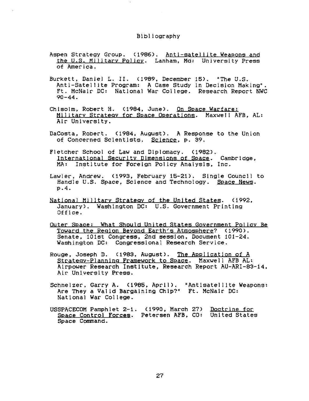### Bibliography

- Aspen Strategy Group. (1986). Anti-satellite Weapons and the U.S. Mi]itarv Policy. Lanham, Md: University Press of America.
- Burkett, Daniel L. II. (1989, December 15). "The U.S. Anti-Satellite Program: A Case Study in Decision Making". Ft. McNair DC: National War College. Research Report NWC  $90 - 44.$
- Chisolm, Robert H. (1984, June). On Space Warfare: Military Strategy for Space Operations. Maxwell AFB, AL: Air University.
- DaCosta, Robert. (1984, August). A Response to the Union of Concerned Scientists. Science, p. 39.
- Fletcher School of Law and Diplomacy. (1982). International Securltv Dlmensions of Space. Cambridge, MA: Institute for Foreign Policy Analysis, Inc.
- Lawler, Andrew. (1993, February 15-21). Single Council to Handle U.S. Space, Science and Technology. Space News. p.4.
- National Military Strateav of the United States. (1992, January). Washington DC: U.S. Government Printing Office.
- Outer Space: What Should United States Government Policy Be Toward the Region Beyond Earth's Atmosphere? (1990). Senate, 101st Congress, 2nd session, Document 101-24. Washington DC: Congressional Research Service.
- Rouge, Joseph D. (1983, August). The Application of A Strateav-Plannlna Framework to Space. Maxwell AFB AL: Airpower Research Institute, Research Report AU-ARI-83-14, Air University Press.
- Schnelzer, Garry A. (1985, April). "Antisatelllte Weapons: Are They a Valid Bargaining Chip?" Ft. McNalr DC: National War College.
- USSPACECOM Pamphlet 2-I. (1990, March 27) Doctrine for Sp~¢e Control Forces. Petersen AFB, CO: United States Space Command.